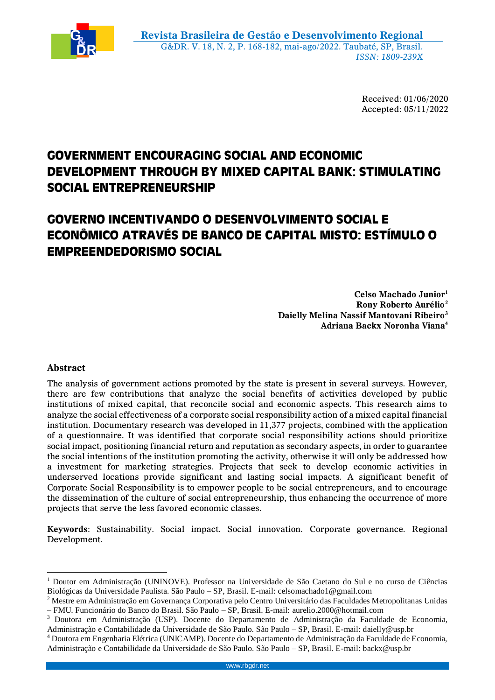

Received: 01/06/2020 Accepted: 05/11/2022

## **GOVERNMENT ENCOURAGING SOCIAL AND ECONOMIC DEVELOPMENT THROUGH BY MIXED CAPITAL BANK: STIMULATING SOCIAL ENTREPRENEURSHIP**

# **GOVERNO INCENTIVANDO O DESENVOLVIMENTO SOCIAL E ECONÔMICO ATRAVÉS DE BANCO DE CAPITAL MISTO: ESTÍMULO O EMPREENDEDORISMO SOCIAL**

**Celso Machado Junior<sup>1</sup> Rony Roberto Aurélio<sup>2</sup> Daielly Melina Nassif Mantovani Ribeiro<sup>3</sup> Adriana Backx Noronha Viana<sup>4</sup>**

## **Abstract**

 $\overline{a}$ 

The analysis of government actions promoted by the state is present in several surveys. However, there are few contributions that analyze the social benefits of activities developed by public institutions of mixed capital, that reconcile social and economic aspects. This research aims to analyze the social effectiveness of a corporate social responsibility action of a mixed capital financial institution. Documentary research was developed in 11,377 projects, combined with the application of a questionnaire. It was identified that corporate social responsibility actions should prioritize social impact, positioning financial return and reputation as secondary aspects, in order to guarantee the social intentions of the institution promoting the activity, otherwise it will only be addressed how a investment for marketing strategies. Projects that seek to develop economic activities in underserved locations provide significant and lasting social impacts. A significant benefit of Corporate Social Responsibility is to empower people to be social entrepreneurs, and to encourage the dissemination of the culture of social entrepreneurship, thus enhancing the occurrence of more projects that serve the less favored economic classes.

**Keywords**: Sustainability. Social impact. Social innovation. Corporate governance. Regional Development.

<sup>1</sup> Doutor em Administração (UNINOVE). Professor na Universidade de São Caetano do Sul e no curso de Ciências Biológicas da Universidade Paulista. São Paulo – SP, Brasil. E-mail: celsomachado1@gmail.com

<sup>2</sup> Mestre em Administração em Governança Corporativa pelo Centro Universitário das Faculdades Metropolitanas Unidas – FMU. Funcionário do Banco do Brasil. São Paulo – SP, Brasil. E-mail: aurelio.2000@hotmail.com

<sup>3</sup> Doutora em Administração (USP). Docente do Departamento de Administração da Faculdade de Economia, Administração e Contabilidade da Universidade de São Paulo. São Paulo – SP, Brasil. E-mail: daielly@usp.br

<sup>4</sup> Doutora em Engenharia Elétrica (UNICAMP). Docente do Departamento de Administração da Faculdade de Economia, Administração e Contabilidade da Universidade de São Paulo. São Paulo – SP, Brasil. E-mail: backx@usp.br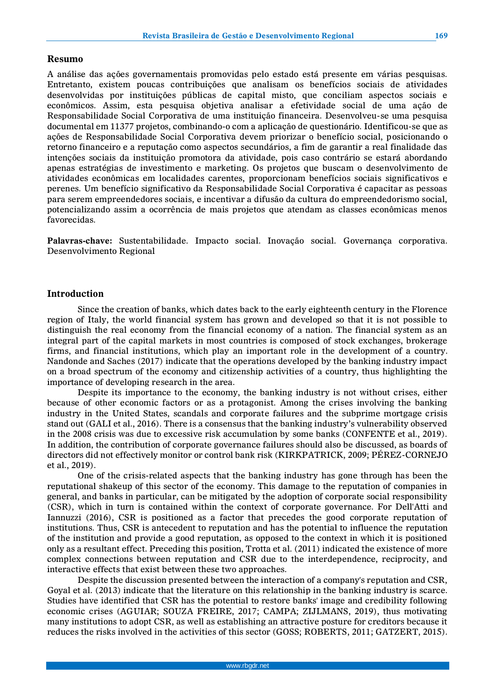## **Resumo**

A análise das ações governamentais promovidas pelo estado está presente em várias pesquisas. Entretanto, existem poucas contribuições que analisam os benefícios sociais de atividades desenvolvidas por instituições públicas de capital misto, que conciliam aspectos sociais e econômicos. Assim, esta pesquisa objetiva analisar a efetividade social de uma ação de Responsabilidade Social Corporativa de uma instituição financeira. Desenvolveu-se uma pesquisa documental em 11377 projetos, combinando-o com a aplicação de questionário. Identificou-se que as ações de Responsabilidade Social Corporativa devem priorizar o benefício social, posicionando o retorno financeiro e a reputação como aspectos secundários, a fim de garantir a real finalidade das intenções sociais da instituição promotora da atividade, pois caso contrário se estará abordando apenas estratégias de investimento e marketing. Os projetos que buscam o desenvolvimento de atividades econômicas em localidades carentes, proporcionam benefícios sociais significativos e perenes. Um benefício significativo da Responsabilidade Social Corporativa é capacitar as pessoas para serem empreendedores sociais, e incentivar a difusão da cultura do empreendedorismo social, potencializando assim a ocorrência de mais projetos que atendam as classes econômicas menos favorecidas.

**Palavras-chave:** Sustentabilidade. Impacto social. Inovação social. Governança corporativa. Desenvolvimento Regional

#### **Introduction**

Since the creation of banks, which dates back to the early eighteenth century in the Florence region of Italy, the world financial system has grown and developed so that it is not possible to distinguish the real economy from the financial economy of a nation. The financial system as an integral part of the capital markets in most countries is composed of stock exchanges, brokerage firms, and financial institutions, which play an important role in the development of a country. Nandonde and Saches (2017) indicate that the operations developed by the banking industry impact on a broad spectrum of the economy and citizenship activities of a country, thus highlighting the importance of developing research in the area.

Despite its importance to the economy, the banking industry is not without crises, either because of other economic factors or as a protagonist. Among the crises involving the banking industry in the United States, scandals and corporate failures and the subprime mortgage crisis stand out (GALI et al., 2016). There is a consensus that the banking industry's vulnerability observed in the 2008 crisis was due to excessive risk accumulation by some banks (CONFENTE et al., 2019). In addition, the contribution of corporate governance failures should also be discussed, as boards of directors did not effectively monitor or control bank risk (KIRKPATRICK, 2009; PÉREZ-CORNEJO et al., 2019).

One of the crisis-related aspects that the banking industry has gone through has been the reputational shakeup of this sector of the economy. This damage to the reputation of companies in general, and banks in particular, can be mitigated by the adoption of corporate social responsibility (CSR), which in turn is contained within the context of corporate governance. For Dell'Atti and Iannuzzi (2016), CSR is positioned as a factor that precedes the good corporate reputation of institutions. Thus, CSR is antecedent to reputation and has the potential to influence the reputation of the institution and provide a good reputation, as opposed to the context in which it is positioned only as a resultant effect. Preceding this position, Trotta et al. (2011) indicated the existence of more complex connections between reputation and CSR due to the interdependence, reciprocity, and interactive effects that exist between these two approaches.

Despite the discussion presented between the interaction of a company's reputation and CSR, Goyal et al. (2013) indicate that the literature on this relationship in the banking industry is scarce. Studies have identified that CSR has the potential to restore banks' image and credibility following economic crises (AGUIAR; SOUZA FREIRE, 2017; CAMPA; ZIJLMANS, 2019), thus motivating many institutions to adopt CSR, as well as establishing an attractive posture for creditors because it reduces the risks involved in the activities of this sector (GOSS; ROBERTS, 2011; GATZERT, 2015).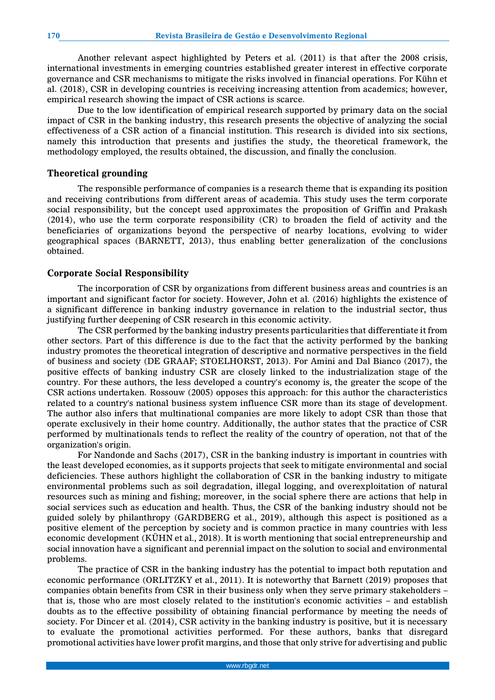Another relevant aspect highlighted by Peters et al. (2011) is that after the 2008 crisis, international investments in emerging countries established greater interest in effective corporate governance and CSR mechanisms to mitigate the risks involved in financial operations. For Kühn et al. (2018), CSR in developing countries is receiving increasing attention from academics; however, empirical research showing the impact of CSR actions is scarce.

Due to the low identification of empirical research supported by primary data on the social impact of CSR in the banking industry, this research presents the objective of analyzing the social effectiveness of a CSR action of a financial institution. This research is divided into six sections, namely this introduction that presents and justifies the study, the theoretical framework, the methodology employed, the results obtained, the discussion, and finally the conclusion.

## **Theoretical grounding**

The responsible performance of companies is a research theme that is expanding its position and receiving contributions from different areas of academia. This study uses the term corporate social responsibility, but the concept used approximates the proposition of Griffin and Prakash (2014), who use the term corporate responsibility (CR) to broaden the field of activity and the beneficiaries of organizations beyond the perspective of nearby locations, evolving to wider geographical spaces (BARNETT, 2013), thus enabling better generalization of the conclusions obtained.

## **Corporate Social Responsibility**

The incorporation of CSR by organizations from different business areas and countries is an important and significant factor for society. However, John et al. (2016) highlights the existence of a significant difference in banking industry governance in relation to the industrial sector, thus justifying further deepening of CSR research in this economic activity.

The CSR performed by the banking industry presents particularities that differentiate it from other sectors. Part of this difference is due to the fact that the activity performed by the banking industry promotes the theoretical integration of descriptive and normative perspectives in the field of business and society (DE GRAAF; STOELHORST, 2013). For Amini and Dal Bianco (2017), the positive effects of banking industry CSR are closely linked to the industrialization stage of the country. For these authors, the less developed a country's economy is, the greater the scope of the CSR actions undertaken. Rossouw (2005) opposes this approach: for this author the characteristics related to a country's national business system influence CSR more than its stage of development. The author also infers that multinational companies are more likely to adopt CSR than those that operate exclusively in their home country. Additionally, the author states that the practice of CSR performed by multinationals tends to reflect the reality of the country of operation, not that of the organization's origin.

For Nandonde and Sachs (2017), CSR in the banking industry is important in countries with the least developed economies, as it supports projects that seek to mitigate environmental and social deficiencies. These authors highlight the collaboration of CSR in the banking industry to mitigate environmental problems such as soil degradation, illegal logging, and overexploitation of natural resources such as mining and fishing; moreover, in the social sphere there are actions that help in social services such as education and health. Thus, the CSR of the banking industry should not be guided solely by philanthropy (GARDBERG et al., 2019), although this aspect is positioned as a positive element of the perception by society and is common practice in many countries with less economic development (KÜHN et al., 2018). It is worth mentioning that social entrepreneurship and social innovation have a significant and perennial impact on the solution to social and environmental problems.

The practice of CSR in the banking industry has the potential to impact both reputation and economic performance (ORLITZKY et al., 2011). It is noteworthy that Barnett (2019) proposes that companies obtain benefits from CSR in their business only when they serve primary stakeholders – that is, those who are most closely related to the institution's economic activities – and establish doubts as to the effective possibility of obtaining financial performance by meeting the needs of society. For Dincer et al. (2014), CSR activity in the banking industry is positive, but it is necessary to evaluate the promotional activities performed. For these authors, banks that disregard promotional activities have lower profit margins, and those that only strive for advertising and public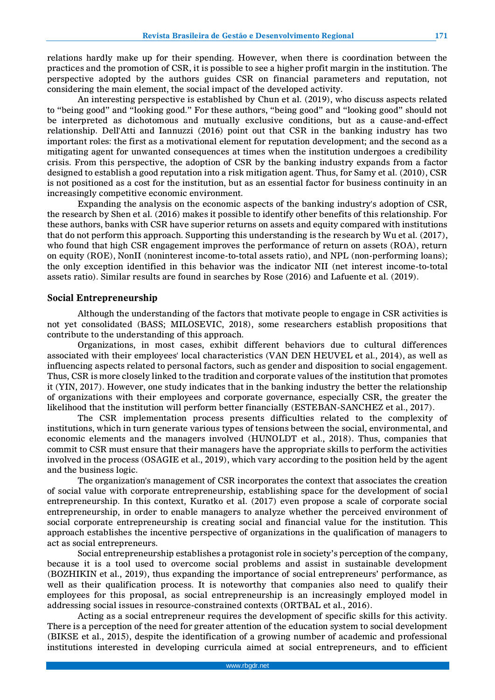relations hardly make up for their spending. However, when there is coordination between the practices and the promotion of CSR, it is possible to see a higher profit margin in the institution. The perspective adopted by the authors guides CSR on financial parameters and reputation, not considering the main element, the social impact of the developed activity.

An interesting perspective is established by Chun et al. (2019), who discuss aspects related to "being good" and "looking good." For these authors, "being good" and "looking good" should not be interpreted as dichotomous and mutually exclusive conditions, but as a cause-and-effect relationship. Dell'Atti and Iannuzzi (2016) point out that CSR in the banking industry has two important roles: the first as a motivational element for reputation development; and the second as a mitigating agent for unwanted consequences at times when the institution undergoes a credibility crisis. From this perspective, the adoption of CSR by the banking industry expands from a factor designed to establish a good reputation into a risk mitigation agent. Thus, for Samy et al. (2010), CSR is not positioned as a cost for the institution, but as an essential factor for business continuity in an increasingly competitive economic environment.

Expanding the analysis on the economic aspects of the banking industry's adoption of CSR, the research by Shen et al. (2016) makes it possible to identify other benefits of this relationship. For these authors, banks with CSR have superior returns on assets and equity compared with institutions that do not perform this approach. Supporting this understanding is the research by Wu et al. (2017), who found that high CSR engagement improves the performance of return on assets (ROA), return on equity (ROE), NonII (noninterest income-to-total assets ratio), and NPL (non-performing loans); the only exception identified in this behavior was the indicator NII (net interest income-to-total assets ratio). Similar results are found in searches by Rose (2016) and Lafuente et al. (2019).

#### **Social Entrepreneurship**

Although the understanding of the factors that motivate people to engage in CSR activities is not yet consolidated (BASS; MILOSEVIC, 2018), some researchers establish propositions that contribute to the understanding of this approach.

Organizations, in most cases, exhibit different behaviors due to cultural differences associated with their employees' local characteristics (VAN DEN HEUVEL et al., 2014), as well as influencing aspects related to personal factors, such as gender and disposition to social engagement. Thus, CSR is more closely linked to the tradition and corporate values of the institution that promotes it (YIN, 2017). However, one study indicates that in the banking industry the better the relationship of organizations with their employees and corporate governance, especially CSR, the greater the likelihood that the institution will perform better financially (ESTEBAN-SANCHEZ et al., 2017).

The CSR implementation process presents difficulties related to the complexity of institutions, which in turn generate various types of tensions between the social, environmental, and economic elements and the managers involved (HUNOLDT et al., 2018). Thus, companies that commit to CSR must ensure that their managers have the appropriate skills to perform the activities involved in the process (OSAGIE et al., 2019), which vary according to the position held by the agent and the business logic.

The organization's management of CSR incorporates the context that associates the creation of social value with corporate entrepreneurship, establishing space for the development of social entrepreneurship. In this context, Kuratko et al. (2017) even propose a scale of corporate social entrepreneurship, in order to enable managers to analyze whether the perceived environment of social corporate entrepreneurship is creating social and financial value for the institution. This approach establishes the incentive perspective of organizations in the qualification of managers to act as social entrepreneurs.

Social entrepreneurship establishes a protagonist role in society's perception of the company, because it is a tool used to overcome social problems and assist in sustainable development (BOZHIKIN et al., 2019), thus expanding the importance of social entrepreneurs' performance, as well as their qualification process. It is noteworthy that companies also need to qualify their employees for this proposal, as social entrepreneurship is an increasingly employed model in addressing social issues in resource-constrained contexts (ORTBAL et al., 2016).

Acting as a social entrepreneur requires the development of specific skills for this activity. There is a perception of the need for greater attention of the education system to social development (BIKSE et al., 2015), despite the identification of a growing number of academic and professional institutions interested in developing curricula aimed at social entrepreneurs, and to efficient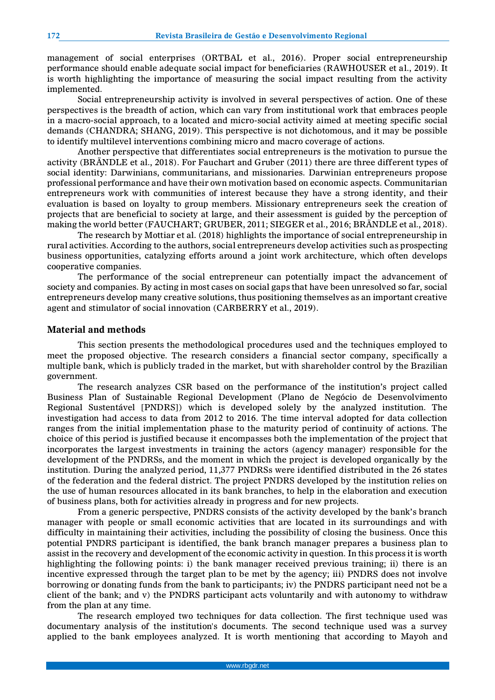management of social enterprises (ORTBAL et al., 2016). Proper social entrepreneurship performance should enable adequate social impact for beneficiaries (RAWHOUSER et al., 2019). It is worth highlighting the importance of measuring the social impact resulting from the activity implemented.

Social entrepreneurship activity is involved in several perspectives of action. One of these perspectives is the breadth of action, which can vary from institutional work that embraces people in a macro-social approach, to a located and micro-social activity aimed at meeting specific social demands (CHANDRA; SHANG, 2019). This perspective is not dichotomous, and it may be possible to identify multilevel interventions combining micro and macro coverage of actions.

Another perspective that differentiates social entrepreneurs is the motivation to pursue the activity (BRÄNDLE et al., 2018). For Fauchart and Gruber (2011) there are three different types of social identity: Darwinians, communitarians, and missionaries. Darwinian entrepreneurs propose professional performance and have their own motivation based on economic aspects. Communitarian entrepreneurs work with communities of interest because they have a strong identity, and their evaluation is based on loyalty to group members. Missionary entrepreneurs seek the creation of projects that are beneficial to society at large, and their assessment is guided by the perception of making the world better (FAUCHART; GRUBER, 2011; SIEGER et al., 2016; BRÄNDLE et al., 2018).

The research by Mottiar et al. (2018) highlights the importance of social entrepreneurship in rural activities. According to the authors, social entrepreneurs develop activities such as prospecting business opportunities, catalyzing efforts around a joint work architecture, which often develops cooperative companies.

The performance of the social entrepreneur can potentially impact the advancement of society and companies. By acting in most cases on social gaps that have been unresolved so far, social entrepreneurs develop many creative solutions, thus positioning themselves as an important creative agent and stimulator of social innovation (CARBERRY et al., 2019).

## **Material and methods**

This section presents the methodological procedures used and the techniques employed to meet the proposed objective. The research considers a financial sector company, specifically a multiple bank, which is publicly traded in the market, but with shareholder control by the Brazilian government.

The research analyzes CSR based on the performance of the institution's project called Business Plan of Sustainable Regional Development (Plano de Negócio de Desenvolvimento Regional Sustentável [PNDRS]) which is developed solely by the analyzed institution. The investigation had access to data from 2012 to 2016. The time interval adopted for data collection ranges from the initial implementation phase to the maturity period of continuity of actions. The choice of this period is justified because it encompasses both the implementation of the project that incorporates the largest investments in training the actors (agency manager) responsible for the development of the PNDRSs, and the moment in which the project is developed organically by the institution. During the analyzed period, 11,377 PNDRSs were identified distributed in the 26 states of the federation and the federal district. The project PNDRS developed by the institution relies on the use of human resources allocated in its bank branches, to help in the elaboration and execution of business plans, both for activities already in progress and for new projects.

From a generic perspective, PNDRS consists of the activity developed by the bank's branch manager with people or small economic activities that are located in its surroundings and with difficulty in maintaining their activities, including the possibility of closing the business. Once this potential PNDRS participant is identified, the bank branch manager prepares a business plan to assist in the recovery and development of the economic activity in question. In this process it is worth highlighting the following points: i) the bank manager received previous training; ii) there is an incentive expressed through the target plan to be met by the agency; iii) PNDRS does not involve borrowing or donating funds from the bank to participants; iv) the PNDRS participant need not be a client of the bank; and v) the PNDRS participant acts voluntarily and with autonomy to withdraw from the plan at any time.

The research employed two techniques for data collection. The first technique used was documentary analysis of the institution's documents. The second technique used was a survey applied to the bank employees analyzed. It is worth mentioning that according to Mayoh and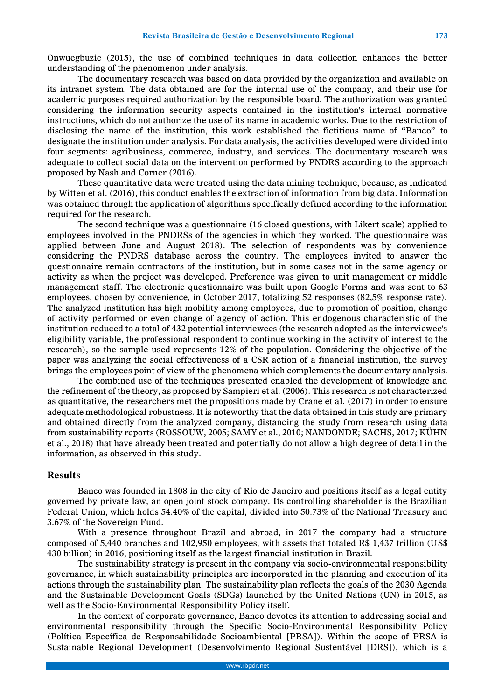Onwuegbuzie (2015), the use of combined techniques in data collection enhances the better understanding of the phenomenon under analysis.

The documentary research was based on data provided by the organization and available on its intranet system. The data obtained are for the internal use of the company, and their use for academic purposes required authorization by the responsible board. The authorization was granted considering the information security aspects contained in the institution's internal normative instructions, which do not authorize the use of its name in academic works. Due to the restriction of disclosing the name of the institution, this work established the fictitious name of "Banco" to designate the institution under analysis. For data analysis, the activities developed were divided into four segments: agribusiness, commerce, industry, and services. The documentary research was adequate to collect social data on the intervention performed by PNDRS according to the approach proposed by Nash and Corner (2016).

These quantitative data were treated using the data mining technique, because, as indicated by Witten et al. (2016), this conduct enables the extraction of information from big data. Information was obtained through the application of algorithms specifically defined according to the information required for the research.

The second technique was a questionnaire (16 closed questions, with Likert scale) applied to employees involved in the PNDRSs of the agencies in which they worked. The questionnaire was applied between June and August 2018). The selection of respondents was by convenience considering the PNDRS database across the country. The employees invited to answer the questionnaire remain contractors of the institution, but in some cases not in the same agency or activity as when the project was developed. Preference was given to unit management or middle management staff. The electronic questionnaire was built upon Google Forms and was sent to 63 employees, chosen by convenience, in October 2017, totalizing 52 responses (82,5% response rate). The analyzed institution has high mobility among employees, due to promotion of position, change of activity performed or even change of agency of action. This endogenous characteristic of the institution reduced to a total of 432 potential interviewees (the research adopted as the interviewee's eligibility variable, the professional respondent to continue working in the activity of interest to the research), so the sample used represents 12% of the population. Considering the objective of the paper was analyzing the social effectiveness of a CSR action of a financial institution, the survey brings the employees point of view of the phenomena which complements the documentary analysis.

The combined use of the techniques presented enabled the development of knowledge and the refinement of the theory, as proposed by Sampieri et al. (2006). This research is not characterized as quantitative, the researchers met the propositions made by Crane et al. (2017) in order to ensure adequate methodological robustness. It is noteworthy that the data obtained in this study are primary and obtained directly from the analyzed company, distancing the study from research using data from sustainability reports (ROSSOUW, 2005; SAMY et al., 2010; NANDONDE; SACHS, 2017; KÜHN et al., 2018) that have already been treated and potentially do not allow a high degree of detail in the information, as observed in this study.

#### **Results**

Banco was founded in 1808 in the city of Rio de Janeiro and positions itself as a legal entity governed by private law, an open joint stock company. Its controlling shareholder is the Brazilian Federal Union, which holds 54.40% of the capital, divided into 50.73% of the National Treasury and 3.67% of the Sovereign Fund.

With a presence throughout Brazil and abroad, in 2017 the company had a structure composed of 5,440 branches and 102,950 employees, with assets that totaled R\$ 1,437 trillion (US\$ 430 billion) in 2016, positioning itself as the largest financial institution in Brazil.

The sustainability strategy is present in the company via socio-environmental responsibility governance, in which sustainability principles are incorporated in the planning and execution of its actions through the sustainability plan. The sustainability plan reflects the goals of the 2030 Agenda and the Sustainable Development Goals (SDGs) launched by the United Nations (UN) in 2015, as well as the Socio-Environmental Responsibility Policy itself.

In the context of corporate governance, Banco devotes its attention to addressing social and environmental responsibility through the Specific Socio-Environmental Responsibility Policy (Política Específica de Responsabilidade Socioambiental [PRSA]). Within the scope of PRSA is Sustainable Regional Development (Desenvolvimento Regional Sustentável [DRS]), which is a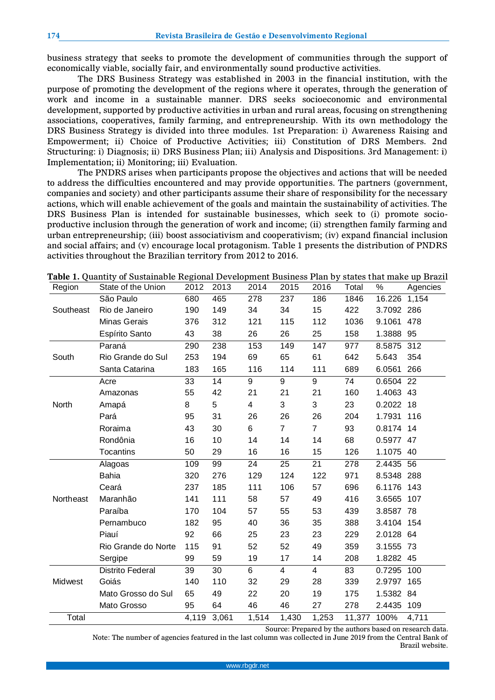business strategy that seeks to promote the development of communities through the support of economically viable, socially fair, and environmentally sound productive activities.

The DRS Business Strategy was established in 2003 in the financial institution, with the purpose of promoting the development of the regions where it operates, through the generation of work and income in a sustainable manner. DRS seeks socioeconomic and environmental development, supported by productive activities in urban and rural areas, focusing on strengthening associations, cooperatives, family farming, and entrepreneurship. With its own methodology the DRS Business Strategy is divided into three modules. 1st Preparation: i) Awareness Raising and Empowerment; ii) Choice of Productive Activities; iii) Constitution of DRS Members. 2nd Structuring: i) Diagnosis; ii) DRS Business Plan; iii) Analysis and Dispositions. 3rd Management: i) Implementation; ii) Monitoring; iii) Evaluation.

The PNDRS arises when participants propose the objectives and actions that will be needed to address the difficulties encountered and may provide opportunities. The partners (government, companies and society) and other participants assume their share of responsibility for the necessary actions, which will enable achievement of the goals and maintain the sustainability of activities. The DRS Business Plan is intended for sustainable businesses, which seek to (i) promote socioproductive inclusion through the generation of work and income; (ii) strengthen family farming and urban entrepreneurship; (iii) boost associativism and cooperativism; (iv) expand financial inclusion and social affairs; and (v) encourage local protagonism. Table 1 presents the distribution of PNDRS activities throughout the Brazilian territory from 2012 to 2016.

| Region    | State of the Union      | 2012  | 2013  | 2014           | 2015           | 2016           | Total  | $\%$       | Agencies |
|-----------|-------------------------|-------|-------|----------------|----------------|----------------|--------|------------|----------|
|           | São Paulo               | 680   | 465   | 278            | 237            | 186            | 1846   | 16.226     | 1,154    |
| Southeast | Rio de Janeiro          | 190   | 149   | 34             | 34             | 15             | 422    | 3.7092 286 |          |
|           | Minas Gerais            | 376   | 312   | 121            | 115            | 112            | 1036   | 9.1061 478 |          |
|           | Espírito Santo          | 43    | 38    | 26             | 26             | 25             | 158    | 1.3888 95  |          |
|           | Paraná                  | 290   | 238   | 153            | 149            | 147            | 977    | 8.5875 312 |          |
| South     | Rio Grande do Sul       | 253   | 194   | 69             | 65             | 61             | 642    | 5.643      | 354      |
|           | Santa Catarina          | 183   | 165   | 116            | 114            | 111            | 689    | 6.0561     | 266      |
|           | Acre                    | 33    | 14    | 9              | 9              | 9              | 74     | 0.6504     | 22       |
|           | Amazonas                | 55    | 42    | 21             | 21             | 21             | 160    | 1.4063 43  |          |
| North     | Amapá                   | 8     | 5     | $\overline{4}$ | 3              | 3              | 23     | 0.2022 18  |          |
|           | Pará                    | 95    | 31    | 26             | 26             | 26             | 204    | 1.7931     | 116      |
|           | Roraima                 | 43    | 30    | 6              | $\overline{7}$ | $\overline{7}$ | 93     | 0.8174 14  |          |
|           | Rondônia                | 16    | 10    | 14             | 14             | 14             | 68     | 0.5977 47  |          |
|           | <b>Tocantins</b>        | 50    | 29    | 16             | 16             | 15             | 126    | 1.1075 40  |          |
|           | Alagoas                 | 109   | 99    | 24             | 25             | 21             | 278    | 2.4435 56  |          |
|           | <b>Bahia</b>            | 320   | 276   | 129            | 124            | 122            | 971    | 8.5348 288 |          |
|           | Ceará                   | 237   | 185   | 111            | 106            | 57             | 696    | 6.1176 143 |          |
| Northeast | Maranhão                | 141   | 111   | 58             | 57             | 49             | 416    | 3.6565     | 107      |
|           | Paraíba                 | 170   | 104   | 57             | 55             | 53             | 439    | 3.8587 78  |          |
|           | Pernambuco              | 182   | 95    | 40             | 36             | 35             | 388    | 3.4104 154 |          |
|           | Piauí                   | 92    | 66    | 25             | 23             | 23             | 229    | 2.0128 64  |          |
|           | Rio Grande do Norte     | 115   | 91    | 52             | 52             | 49             | 359    | 3.1555 73  |          |
|           | Sergipe                 | 99    | 59    | 19             | 17             | 14             | 208    | 1.8282 45  |          |
|           | <b>Distrito Federal</b> | 39    | 30    | 6              | 4              | 4              | 83     | 0.7295 100 |          |
| Midwest   | Goiás                   | 140   | 110   | 32             | 29             | 28             | 339    | 2.9797 165 |          |
|           | Mato Grosso do Sul      | 65    | 49    | 22             | 20             | 19             | 175    | 1.5382 84  |          |
|           | Mato Grosso             | 95    | 64    | 46             | 46             | 27             | 278    | 2.4435     | 109      |
| Total     |                         | 4,119 | 3,061 | 1,514          | 1,430          | 1,253          | 11,377 | 100%       | 4,711    |

**Table 1.** Quantity of Sustainable Regional Development Business Plan by states that make up Brazil

Source: Prepared by the authors based on research data.

Note: The number of agencies featured in the last column was collected in June 2019 from the Central Bank of Brazil website.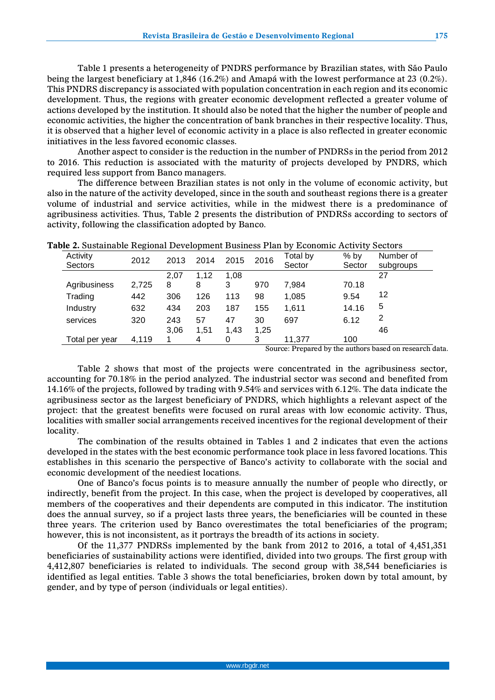Table 1 presents a heterogeneity of PNDRS performance by Brazilian states, with São Paulo being the largest beneficiary at 1,846 (16.2%) and Amapá with the lowest performance at 23 (0.2%). This PNDRS discrepancy is associated with population concentration in each region and its economic development. Thus, the regions with greater economic development reflected a greater volume of actions developed by the institution. It should also be noted that the higher the number of people and economic activities, the higher the concentration of bank branches in their respective locality. Thus, it is observed that a higher level of economic activity in a place is also reflected in greater economic initiatives in the less favored economic classes.

Another aspect to consider is the reduction in the number of PNDRSs in the period from 2012 to 2016. This reduction is associated with the maturity of projects developed by PNDRS, which required less support from Banco managers.

The difference between Brazilian states is not only in the volume of economic activity, but also in the nature of the activity developed, since in the south and southeast regions there is a greater volume of industrial and service activities, while in the midwest there is a predominance of agribusiness activities. Thus, Table 2 presents the distribution of PNDRSs according to sectors of activity, following the classification adopted by Banco.

|                     | ັ     |      |      |      |        |                    |                   |                        |
|---------------------|-------|------|------|------|--------|--------------------|-------------------|------------------------|
| Activity<br>Sectors | 2012  | 2013 | 2014 | 2015 | 2016   | Total by<br>Sector | $%$ by<br>Sector  | Number of<br>subgroups |
|                     |       | 2,07 | 1.12 | 1.08 |        |                    |                   | 27                     |
| Agribusiness        | 2,725 | 8    | 8    | 3    | 970    | 7.984              | 70.18             |                        |
| Trading             | 442   | 306  | 126  | 113  | 98     | 1,085              | 9.54              | 12                     |
| Industry            | 632   | 434  | 203  | 187  | 155    | 1,611              | 14.16             | 5                      |
| services            | 320   | 243  | 57   | 47   | 30     | 697                | 6.12              | 2                      |
|                     |       | 3,06 | 1.51 | 1.43 | 1,25   |                    |                   | 46                     |
| Total per vear      | 4,119 | 1    | 4    |      | 3      | 11,377             | 100               |                        |
|                     |       |      |      |      | $\sim$ | $\sim$             | .<br>$\mathbf{H}$ | $\sim$                 |

|  |  |  |  |  |  | <b>Table 2.</b> Sustainable Regional Development Business Plan by Economic Activity Sectors |
|--|--|--|--|--|--|---------------------------------------------------------------------------------------------|
|--|--|--|--|--|--|---------------------------------------------------------------------------------------------|

Source: Prepared by the authors based on research data.

Table 2 shows that most of the projects were concentrated in the agribusiness sector, accounting for 70.18% in the period analyzed. The industrial sector was second and benefited from 14.16% of the projects, followed by trading with 9.54% and services with 6.12%. The data indicate the agribusiness sector as the largest beneficiary of PNDRS, which highlights a relevant aspect of the project: that the greatest benefits were focused on rural areas with low economic activity. Thus, localities with smaller social arrangements received incentives for the regional development of their locality.

The combination of the results obtained in Tables 1 and 2 indicates that even the actions developed in the states with the best economic performance took place in less favored locations. This establishes in this scenario the perspective of Banco's activity to collaborate with the social and economic development of the neediest locations.

One of Banco's focus points is to measure annually the number of people who directly, or indirectly, benefit from the project. In this case, when the project is developed by cooperatives, all members of the cooperatives and their dependents are computed in this indicator. The institution does the annual survey, so if a project lasts three years, the beneficiaries will be counted in these three years. The criterion used by Banco overestimates the total beneficiaries of the program; however, this is not inconsistent, as it portrays the breadth of its actions in society.

Of the 11,377 PNDRSs implemented by the bank from 2012 to 2016, a total of 4,451,351 beneficiaries of sustainability actions were identified, divided into two groups. The first group with 4,412,807 beneficiaries is related to individuals. The second group with 38,544 beneficiaries is identified as legal entities. Table 3 shows the total beneficiaries, broken down by total amount, by gender, and by type of person (individuals or legal entities).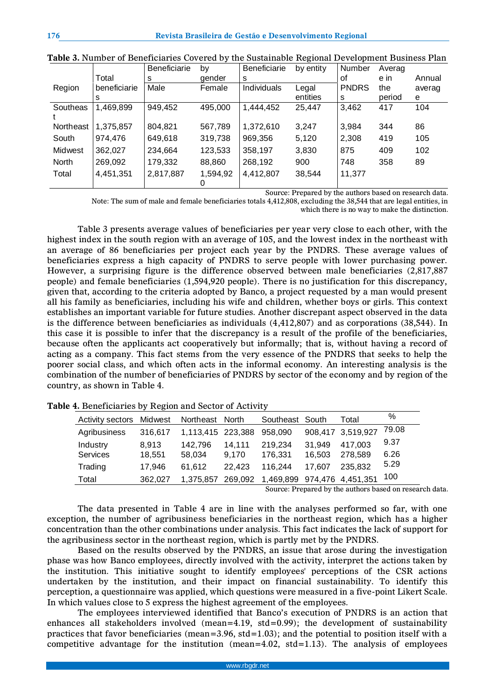|           |              | <b>Beneficiarie</b> | by       | <b>Beneficiarie</b> | by entity | Number       | Averag |        |
|-----------|--------------|---------------------|----------|---------------------|-----------|--------------|--------|--------|
|           | Total        | s                   | gender   | s                   |           | οf           | e in   | Annual |
| Region    | beneficiarie | Male                | Female   | Individuals         | Legal     | <b>PNDRS</b> | the    | averag |
|           | s            |                     |          |                     | entities  | s            | period | e      |
| Southeas  | 1,469,899    | 949,452             | 495,000  | 1.444.452           | 25,447    | 3,462        | 417    | 104    |
|           |              |                     |          |                     |           |              |        |        |
| Northeast | 1,375,857    | 804,821             | 567,789  | 1,372,610           | 3,247     | 3,984        | 344    | 86     |
| South     | 974,476      | 649,618             | 319,738  | 969,356             | 5,120     | 2,308        | 419    | 105    |
| Midwest   | 362,027      | 234,664             | 123,533  | 358,197             | 3,830     | 875          | 409    | 102    |
| North     | 269.092      | 179,332             | 88,860   | 268,192             | 900       | 748          | 358    | 89     |
| Total     | 4,451,351    | 2,817,887           | 1,594,92 | 4,412,807           | 38,544    | 11,377       |        |        |
|           |              |                     | 0        |                     |           |              |        |        |

Source: Prepared by the authors based on research data.

Note: The sum of male and female beneficiaries totals 4,412,808, excluding the 38,544 that are legal entities, in which there is no way to make the distinction.

Table 3 presents average values of beneficiaries per year very close to each other, with the highest index in the south region with an average of 105, and the lowest index in the northeast with an average of 86 beneficiaries per project each year by the PNDRS. These average values of beneficiaries express a high capacity of PNDRS to serve people with lower purchasing power. However, a surprising figure is the difference observed between male beneficiaries (2,817,887 people) and female beneficiaries (1,594,920 people). There is no justification for this discrepancy, given that, according to the criteria adopted by Banco, a project requested by a man would present all his family as beneficiaries, including his wife and children, whether boys or girls. This context establishes an important variable for future studies. Another discrepant aspect observed in the data is the difference between beneficiaries as individuals (4,412,807) and as corporations (38,544). In this case it is possible to infer that the discrepancy is a result of the profile of the beneficiaries, because often the applicants act cooperatively but informally; that is, without having a record of acting as a company. This fact stems from the very essence of the PNDRS that seeks to help the poorer social class, and which often acts in the informal economy. An interesting analysis is the combination of the number of beneficiaries of PNDRS by sector of the economy and by region of the country, as shown in Table 4.

| <b>Activity sectors Midwest</b> |         | Northeast North   |         | Southeast South             |        | Total             | $\%$  |
|---------------------------------|---------|-------------------|---------|-----------------------------|--------|-------------------|-------|
| Agribusiness                    | 316.617 | 1,113,415 223,388 |         | 958,090                     |        | 908,417 3,519,927 | 79.08 |
| Industry                        | 8.913   | 142.796           | 14.111  | 219,234                     | 31.949 | 417.003           | 9.37  |
| Services                        | 18.551  | 58.034            | 9.170   | 176,331                     | 16.503 | 278,589           | 6.26  |
| Trading                         | 17.946  | 61.612            | 22.423  | 116.244                     | 17.607 | 235.832           | 5.29  |
| Total                           | 362.027 | 1,375,857         | 269,092 | 1,469,899 974,476 4,451,351 |        |                   | 100   |

**Table 4.** Beneficiaries by Region and Sector of Activity

Source: Prepared by the authors based on research data.

The data presented in Table 4 are in line with the analyses performed so far, with one exception, the number of agribusiness beneficiaries in the northeast region, which has a higher concentration than the other combinations under analysis. This fact indicates the lack of support for the agribusiness sector in the northeast region, which is partly met by the PNDRS.

Based on the results observed by the PNDRS, an issue that arose during the investigation phase was how Banco employees, directly involved with the activity, interpret the actions taken by the institution. This initiative sought to identify employees' perceptions of the CSR actions undertaken by the institution, and their impact on financial sustainability. To identify this perception, a questionnaire was applied, which questions were measured in a five-point Likert Scale. In which values close to 5 express the highest agreement of the employees.

The employees interviewed identified that Banco's execution of PNDRS is an action that enhances all stakeholders involved (mean=4.19, std=0.99); the development of sustainability practices that favor beneficiaries (mean=3.96,  $std=1.03$ ); and the potential to position itself with a competitive advantage for the institution (mean=4.02, std=1.13). The analysis of employees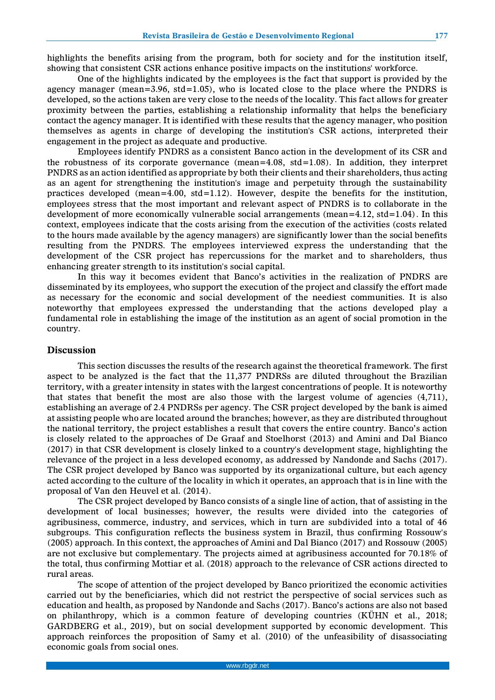highlights the benefits arising from the program, both for society and for the institution itself, showing that consistent CSR actions enhance positive impacts on the institutions' workforce.

One of the highlights indicated by the employees is the fact that support is provided by the agency manager (mean=3.96, std=1.05), who is located close to the place where the PNDRS is developed, so the actions taken are very close to the needs of the locality. This fact allows for greater proximity between the parties, establishing a relationship informality that helps the beneficiary contact the agency manager. It is identified with these results that the agency manager, who position themselves as agents in charge of developing the institution's CSR actions, interpreted their engagement in the project as adequate and productive.

Employees identify PNDRS as a consistent Banco action in the development of its CSR and the robustness of its corporate governance (mean= $4.08$ , std= $1.08$ ). In addition, they interpret PNDRS as an action identified as appropriate by both their clients and their shareholders, thus acting as an agent for strengthening the institution's image and perpetuity through the sustainability practices developed (mean=4.00, std=1.12). However, despite the benefits for the institution, employees stress that the most important and relevant aspect of PNDRS is to collaborate in the development of more economically vulnerable social arrangements (mean= $4.12$ , std= $1.04$ ). In this context, employees indicate that the costs arising from the execution of the activities (costs related to the hours made available by the agency managers) are significantly lower than the social benefits resulting from the PNDRS. The employees interviewed express the understanding that the development of the CSR project has repercussions for the market and to shareholders, thus enhancing greater strength to its institution's social capital.

In this way it becomes evident that Banco's activities in the realization of PNDRS are disseminated by its employees, who support the execution of the project and classify the effort made as necessary for the economic and social development of the neediest communities. It is also noteworthy that employees expressed the understanding that the actions developed play a fundamental role in establishing the image of the institution as an agent of social promotion in the country.

## **Discussion**

This section discusses the results of the research against the theoretical framework. The first aspect to be analyzed is the fact that the 11,377 PNDRSs are diluted throughout the Brazilian territory, with a greater intensity in states with the largest concentrations of people. It is noteworthy that states that benefit the most are also those with the largest volume of agencies  $(4,711)$ , establishing an average of 2.4 PNDRSs per agency. The CSR project developed by the bank is aimed at assisting people who are located around the branches; however, as they are distributed throughout the national territory, the project establishes a result that covers the entire country. Banco's action is closely related to the approaches of De Graaf and Stoelhorst (2013) and Amini and Dal Bianco (2017) in that CSR development is closely linked to a country's development stage, highlighting the relevance of the project in a less developed economy, as addressed by Nandonde and Sachs (2017). The CSR project developed by Banco was supported by its organizational culture, but each agency acted according to the culture of the locality in which it operates, an approach that is in line with the proposal of Van den Heuvel et al. (2014).

The CSR project developed by Banco consists of a single line of action, that of assisting in the development of local businesses; however, the results were divided into the categories of agribusiness, commerce, industry, and services, which in turn are subdivided into a total of 46 subgroups. This configuration reflects the business system in Brazil, thus confirming Rossouw's (2005) approach. In this context, the approaches of Amini and Dal Bianco (2017) and Rossouw (2005) are not exclusive but complementary. The projects aimed at agribusiness accounted for 70.18% of the total, thus confirming Mottiar et al. (2018) approach to the relevance of CSR actions directed to rural areas.

The scope of attention of the project developed by Banco prioritized the economic activities carried out by the beneficiaries, which did not restrict the perspective of social services such as education and health, as proposed by Nandonde and Sachs (2017). Banco's actions are also not based on philanthropy, which is a common feature of developing countries (KÜHN et al., 2018; GARDBERG et al., 2019), but on social development supported by economic development. This approach reinforces the proposition of Samy et al. (2010) of the unfeasibility of disassociating economic goals from social ones.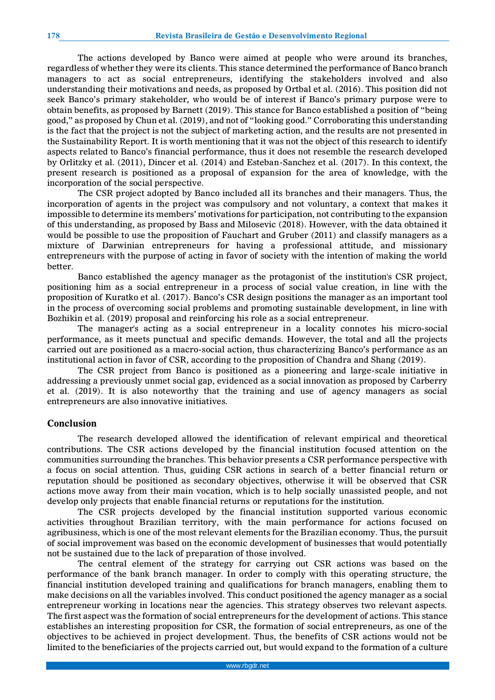The actions developed by Banco were aimed at people who were around its branches, regardless of whether they were its clients. This stance determined the performance of Banco branch managers to act as social entrepreneurs, identifying the stakeholders involved and also understanding their motivations and needs, as proposed by Ortbal et al. (2016). This position did not seek Banco's primary stakeholder, who would be of interest if Banco's primary purpose were to obtain benefits, as proposed by Barnett (2019). This stance for Banco established a position of "being good," as proposed by Chun et al. (2019), and not of "looking good." Corroborating this understanding is the fact that the project is not the subject of marketing action, and the results are not presented in the Sustainability Report. It is worth mentioning that it was not the object of this research to identify aspects related to Banco's financial performance, thus it does not resemble the research developed by Orlitzky et al. (2011), Dincer et al. (2014) and Esteban-Sanchez et al. (2017). In this context, the present research is positioned as a proposal of expansion for the area of knowledge, with the incorporation of the social perspective.

The CSR project adopted by Banco included all its branches and their managers. Thus, the incorporation of agents in the project was compulsory and not voluntary, a context that makes it impossible to determine its members' motivations for participation, not contributing to the expansion of this understanding, as proposed by Bass and Milosevic (2018). However, with the data obtained it would be possible to use the proposition of Fauchart and Gruber (2011) and classify managers as a mixture of Darwinian entrepreneurs for having a professional attitude, and missionary entrepreneurs with the purpose of acting in favor of society with the intention of making the world better.

Banco established the agency manager as the protagonist of the institution's CSR project, positioning him as a social entrepreneur in a process of social value creation, in line with the proposition of Kuratko et al. (2017). Banco's CSR design positions the manager as an important tool in the process of overcoming social problems and promoting sustainable development, in line with Bozhikin et al. (2019) proposal and reinforcing his role as a social entrepreneur.

The manager's acting as a social entrepreneur in a locality connotes his micro-social performance, as it meets punctual and specific demands. However, the total and all the projects carried out are positioned as a macro-social action, thus characterizing Banco's performance as an institutional action in favor of CSR, according to the proposition of Chandra and Shang (2019).

The CSR project from Banco is positioned as a pioneering and large-scale initiative in addressing a previously unmet social gap, evidenced as a social innovation as proposed by Carberry et al. (2019). It is also noteworthy that the training and use of agency managers as social entrepreneurs are also innovative initiatives.

### **Conclusion**

The research developed allowed the identification of relevant empirical and theoretical contributions. The CSR actions developed by the financial institution focused attention on the communities surrounding the branches. This behavior presents a CSR performance perspective with a focus on social attention. Thus, guiding CSR actions in search of a better financial return or reputation should be positioned as secondary objectives, otherwise it will be observed that CSR actions move away from their main vocation, which is to help socially unassisted people, and not develop only projects that enable financial returns or reputations for the institution.

The CSR projects developed by the financial institution supported various economic activities throughout Brazilian territory, with the main performance for actions focused on agribusiness, which is one of the most relevant elements for the Brazilian economy. Thus, the pursuit of social improvement was based on the economic development of businesses that would potentially not be sustained due to the lack of preparation of those involved.

The central element of the strategy for carrying out CSR actions was based on the performance of the bank branch manager. In order to comply with this operating structure, the financial institution developed training and qualifications for branch managers, enabling them to make decisions on all the variables involved. This conduct positioned the agency manager as a social entrepreneur working in locations near the agencies. This strategy observes two relevant aspects. The first aspect was the formation of social entrepreneurs for the development of actions. This stance establishes an interesting proposition for CSR, the formation of social entrepreneurs, as one of the objectives to be achieved in project development. Thus, the benefits of CSR actions would not be limited to the beneficiaries of the projects carried out, but would expand to the formation of a culture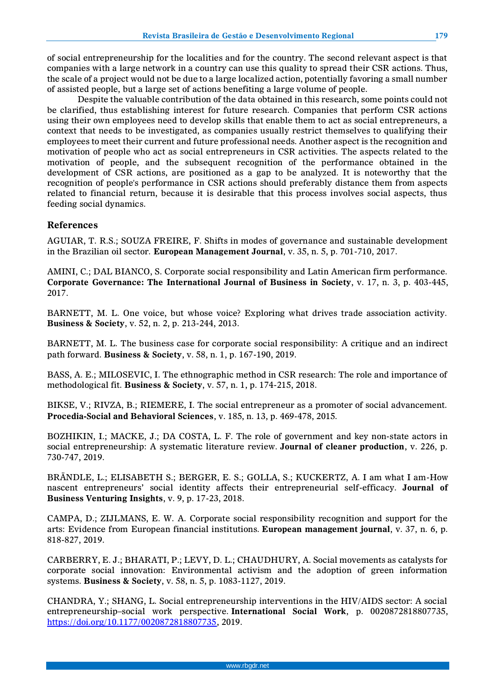of social entrepreneurship for the localities and for the country. The second relevant aspect is that companies with a large network in a country can use this quality to spread their CSR actions. Thus, the scale of a project would not be due to a large localized action, potentially favoring a small number of assisted people, but a large set of actions benefiting a large volume of people.

Despite the valuable contribution of the data obtained in this research, some points could not be clarified, thus establishing interest for future research. Companies that perform CSR actions using their own employees need to develop skills that enable them to act as social entrepreneurs, a context that needs to be investigated, as companies usually restrict themselves to qualifying their employees to meet their current and future professional needs. Another aspect is the recognition and motivation of people who act as social entrepreneurs in CSR activities. The aspects related to the motivation of people, and the subsequent recognition of the performance obtained in the development of CSR actions, are positioned as a gap to be analyzed. It is noteworthy that the recognition of people's performance in CSR actions should preferably distance them from aspects related to financial return, because it is desirable that this process involves social aspects, thus feeding social dynamics.

## **References**

AGUIAR, T. R.S.; SOUZA FREIRE, F. Shifts in modes of governance and sustainable development in the Brazilian oil sector. **European Management Journal**, v. 35, n. 5, p. 701-710, 2017.

AMINI, C.; DAL BIANCO, S. Corporate social responsibility and Latin American firm performance. **Corporate Governance: The International Journal of Business in Society**, v. 17, n. 3, p. 403-445, 2017.

BARNETT, M. L. One voice, but whose voice? Exploring what drives trade association activity. **Business & Society**, v. 52, n. 2, p. 213-244, 2013.

BARNETT, M. L. The business case for corporate social responsibility: A critique and an indirect path forward. **Business & Society**, v. 58, n. 1, p. 167-190, 2019.

BASS, A. E.; MILOSEVIC, I. The ethnographic method in CSR research: The role and importance of methodological fit. **Business & Society**, v. 57, n. 1, p. 174-215, 2018.

BIKSE, V.; RIVZA, B.; RIEMERE, I. The social entrepreneur as a promoter of social advancement. **Procedia-Social and Behavioral Sciences**, v. 185, n. 13, p. 469-478, 2015.

BOZHIKIN, I.; MACKE, J.; DA COSTA, L. F. The role of government and key non-state actors in social entrepreneurship: A systematic literature review. **Journal of cleaner production**, v. 226, p. 730-747, 2019.

BRÄNDLE, L.; ELISABETH S.; BERGER, E. S.; GOLLA, S.; KUCKERTZ, A. I am what I am-How nascent entrepreneurs' social identity affects their entrepreneurial self-efficacy. **Journal of Business Venturing Insights**, v. 9, p. 17-23, 2018.

CAMPA, D.; ZIJLMANS, E. W. A. Corporate social responsibility recognition and support for the arts: Evidence from European financial institutions. **European management journal**, v. 37, n. 6, p. 818-827, 2019.

CARBERRY, E. J.; BHARATI, P.; LEVY, D. L.; CHAUDHURY, A. Social movements as catalysts for corporate social innovation: Environmental activism and the adoption of green information systems. **Business & Society**, v. 58, n. 5, p. 1083-1127, 2019.

CHANDRA, Y.; SHANG, L. Social entrepreneurship interventions in the HIV/AIDS sector: A social entrepreneurship–social work perspective. **International Social Work**, p. 0020872818807735, [https://doi.org/10.1177/0020872818807735,](https://doi.org/10.1177/0020872818807735) 2019.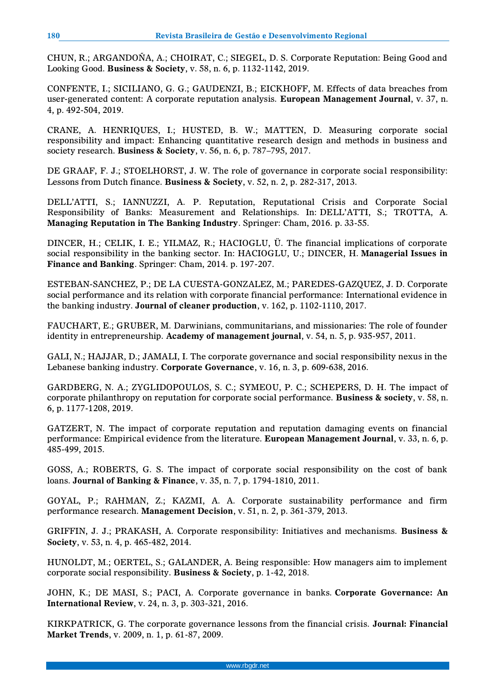CHUN, R.; ARGANDOÑA, A.; CHOIRAT, C.; SIEGEL, D. S. Corporate Reputation: Being Good and Looking Good. **Business & Society**, v. 58, n. 6, p. 1132-1142, 2019.

CONFENTE, I.; SICILIANO, G. G.; GAUDENZI, B.; EICKHOFF, M. Effects of data breaches from user-generated content: A corporate reputation analysis. **European Management Journal**, v. 37, n. 4, p. 492-504, 2019.

CRANE, A. HENRIQUES, I.; HUSTED, B. W.; MATTEN, D. Measuring corporate social responsibility and impact: Enhancing quantitative research design and methods in business and society research. **Business & Society**, v. 56, n. 6, p. 787–795, 2017.

DE GRAAF, F. J.; STOELHORST, J. W. The role of governance in corporate social responsibility: Lessons from Dutch finance. **Business & Society**, v. 52, n. 2, p. 282-317, 2013.

DELL'ATTI, S.; IANNUZZI, A. P. Reputation, Reputational Crisis and Corporate Social Responsibility of Banks: Measurement and Relationships. In: DELL'ATTI, S.; TROTTA, A. **Managing Reputation in The Banking Industry**. Springer: Cham, 2016. p. 33-55.

DINCER, H.; CELIK, I. E.; YILMAZ, R.; HACIOGLU, Ü. The financial implications of corporate social responsibility in the banking sector. In: HACIOGLU, U.; DINCER, H. **Managerial Issues in Finance and Banking**. Springer: Cham, 2014. p. 197-207.

ESTEBAN-SANCHEZ, P.; DE LA CUESTA-GONZALEZ, M.; PAREDES-GAZQUEZ, J. D. Corporate social performance and its relation with corporate financial performance: International evidence in the banking industry. **Journal of cleaner production**, v. 162, p. 1102-1110, 2017.

FAUCHART, E.; GRUBER, M. Darwinians, communitarians, and missionaries: The role of founder identity in entrepreneurship. **Academy of management journal**, v. 54, n. 5, p. 935-957, 2011.

GALI, N.; HAJJAR, D.; JAMALI, I. The corporate governance and social responsibility nexus in the Lebanese banking industry. **Corporate Governance**, v. 16, n. 3, p. 609-638, 2016.

GARDBERG, N. A.; ZYGLIDOPOULOS, S. C.; SYMEOU, P. C.; SCHEPERS, D. H. The impact of corporate philanthropy on reputation for corporate social performance. **Business & society**, v. 58, n. 6, p. 1177-1208, 2019.

GATZERT, N. The impact of corporate reputation and reputation damaging events on financial performance: Empirical evidence from the literature. **European Management Journal**, v. 33, n. 6, p. 485-499, 2015.

GOSS, A.; ROBERTS, G. S. The impact of corporate social responsibility on the cost of bank loans. **Journal of Banking & Finance**, v. 35, n. 7, p. 1794-1810, 2011.

GOYAL, P.; RAHMAN, Z.; KAZMI, A. A. Corporate sustainability performance and firm performance research. **Management Decision**, v. 51, n. 2, p. 361-379, 2013.

GRIFFIN, J. J.; PRAKASH, A. Corporate responsibility: Initiatives and mechanisms. **Business & Society**, v. 53, n. 4, p. 465-482, 2014.

HUNOLDT, M.; OERTEL, S.; GALANDER, A. Being responsible: How managers aim to implement corporate social responsibility. **Business & Society**, p. 1-42, 2018.

JOHN, K.; DE MASI, S.; PACI, A. Corporate governance in banks. **Corporate Governance: An International Review**, v. 24, n. 3, p. 303-321, 2016.

KIRKPATRICK, G. The corporate governance lessons from the financial crisis. **Journal: Financial Market Trends**, v. 2009, n. 1, p. 61-87, 2009.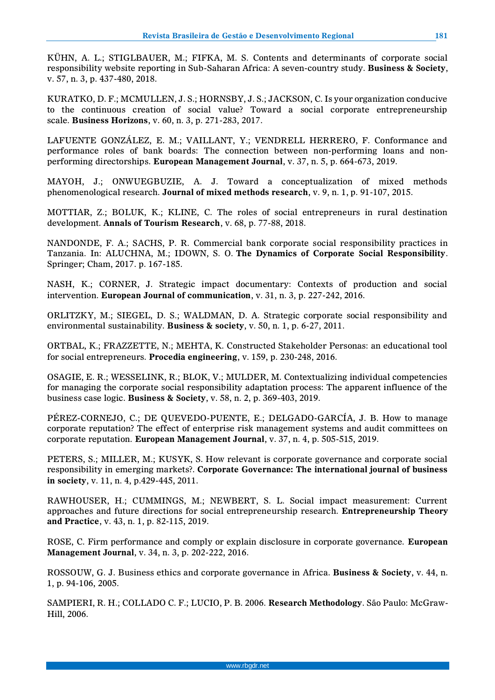KÜHN, A. L.; STIGLBAUER, M.; FIFKA, M. S. Contents and determinants of corporate social responsibility website reporting in Sub-Saharan Africa: A seven-country study. **Business & Society**, v. 57, n. 3, p. 437-480, 2018.

KURATKO, D. F.; MCMULLEN, J. S.; HORNSBY, J. S.; JACKSON, C. Is your organization conducive to the continuous creation of social value? Toward a social corporate entrepreneurship scale. **Business Horizons**, v. 60, n. 3, p. 271-283, 2017.

LAFUENTE GONZÁLEZ, E. M.; VAILLANT, Y.; VENDRELL HERRERO, F. Conformance and performance roles of bank boards: The connection between non-performing loans and nonperforming directorships. **European Management Journal**, v. 37, n. 5, p. 664-673, 2019.

MAYOH, J.; ONWUEGBUZIE, A. J. Toward a conceptualization of mixed methods phenomenological research. **Journal of mixed methods research**, v. 9, n. 1, p. 91-107, 2015.

MOTTIAR, Z.; BOLUK, K.; KLINE, C. The roles of social entrepreneurs in rural destination development. **Annals of Tourism Research**, v. 68, p. 77-88, 2018.

NANDONDE, F. A.; SACHS, P. R. Commercial bank corporate social responsibility practices in Tanzania. In: ALUCHNA, M.; IDOWN, S. O. **The Dynamics of Corporate Social Responsibility**. Springer; Cham, 2017. p. 167-185.

NASH, K.; CORNER, J. Strategic impact documentary: Contexts of production and social intervention. **European Journal of communication**, v. 31, n. 3, p. 227-242, 2016.

ORLITZKY, M.; SIEGEL, D. S.; WALDMAN, D. A. Strategic corporate social responsibility and environmental sustainability. **Business & society**, v. 50, n. 1, p. 6-27, 2011.

ORTBAL, K.; FRAZZETTE, N.; MEHTA, K. Constructed Stakeholder Personas: an educational tool for social entrepreneurs. **Procedia engineering**, v. 159, p. 230-248, 2016.

OSAGIE, E. R.; WESSELINK, R.; BLOK, V.; MULDER, M. Contextualizing individual competencies for managing the corporate social responsibility adaptation process: The apparent influence of the business case logic. **Business & Society**, v. 58, n. 2, p. 369-403, 2019.

PÉREZ-CORNEJO, C.; DE QUEVEDO-PUENTE, E.; DELGADO-GARCÍA, J. B. How to manage corporate reputation? The effect of enterprise risk management systems and audit committees on corporate reputation. **European Management Journal**, v. 37, n. 4, p. 505-515, 2019.

PETERS, S.; MILLER, M.; KUSYK, S. How relevant is corporate governance and corporate social responsibility in emerging markets?. **Corporate Governance: The international journal of business in society**, v. 11, n. 4, p.429-445, 2011.

RAWHOUSER, H.; CUMMINGS, M.; NEWBERT, S. L. Social impact measurement: Current approaches and future directions for social entrepreneurship research. **Entrepreneurship Theory and Practice**, v. 43, n. 1, p. 82-115, 2019.

ROSE, C. Firm performance and comply or explain disclosure in corporate governance. **European Management Journal**, v. 34, n. 3, p. 202-222, 2016.

ROSSOUW, G. J. Business ethics and corporate governance in Africa. **Business & Society**, v. 44, n. 1, p. 94-106, 2005.

SAMPIERI, R. H.; COLLADO C. F.; LUCIO, P. B. 2006. **Research Methodology**. São Paulo: McGraw-Hill, 2006.